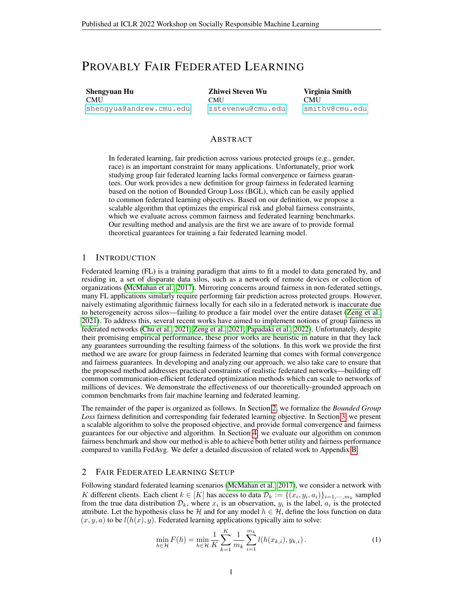# PROVABLY FAIR FEDERATED LEARNING

Shengyuan Hu CMU [shengyua@andrew.cmu.edu](mailto:shengyua@andrew.cmu.edu) Zhiwei Steven Wu **CMU** [zstevenwu@cmu.edu](mailto:zstevenwu@cmu.edu) Virginia Smith **CMU** [smithv@cmu.edu](mailto:smithv@cmu.edu)

#### ABSTRACT

In federated learning, fair prediction across various protected groups (e.g., gender, race) is an important constraint for many applications. Unfortunately, prior work studying group fair federated learning lacks formal convergence or fairness guarantees. Our work provides a new definition for group fairness in federated learning based on the notion of Bounded Group Loss (BGL), which can be easily applied to common federated learning objectives. Based on our definition, we propose a scalable algorithm that optimizes the empirical risk and global fairness constraints, which we evaluate across common fairness and federated learning benchmarks. Our resulting method and analysis are the first we are aware of to provide formal theoretical guarantees for training a fair federated learning model.

# 1 INTRODUCTION

Federated learning (FL) is a training paradigm that aims to fit a model to data generated by, and residing in, a set of disparate data silos, such as a network of remote devices or collection of organizations [\(McMahan et al., 2017\)](#page-4-0). Mirroring concerns around fairness in non-federated settings, many FL applications similarly require performing fair prediction across protected groups. However, naively estimating algorithmic fairness locally for each silo in a federated network is inaccurate due to heterogeneity across silos—failing to produce a fair model over the entire dataset [\(Zeng et al.,](#page-5-0) [2021\)](#page-5-0). To address this, several recent works have aimed to implement notions of group fairness in federated networks [\(Chu et al., 2021;](#page-4-1) [Zeng et al., 2021;](#page-5-0) [Papadaki et al., 2022\)](#page-4-2). Unfortunately, despite their promising empirical performance, these prior works are heuristic in nature in that they lack any guarantees surrounding the resulting fairness of the solutions. In this work we provide the first method we are aware for group fairness in federated learning that comes with formal convergence and fairness guarantees. In developing and analyzing our approach, we also take care to ensure that the proposed method addresses practical constraints of realistic federated networks—building off common communication-efficient federated optimization methods which can scale to networks of millions of devices. We demonstrate the effectiveness of our theoretically-grounded approach on common benchmarks from fair machine learning and federated learning.

The remainder of the paper is organized as follows. In Section [2,](#page-0-0) we formalize the *Bounded Group Loss* fairness definition and corresponding fair federated learning objective. In Section [3,](#page-1-0) we present a scalable algorithm to solve the proposed objective, and provide formal convergence and fairness guarantees for our objective and algorithm. In Section [4,](#page-3-0) we evaluate our algorithm on common fairness benchmark and show our method is able to achieve both better utility and fairness performance compared to vanilla FedAvg. We defer a detailed discussion of related work to Appendix [B.](#page-6-0)

# <span id="page-0-0"></span>2 FAIR FEDERATED LEARNING SETUP

Following standard federated learning scenarios [\(McMahan et al., 2017\)](#page-4-0), we consider a network with K different clients. Each client  $k \in [K]$  has access to data  $\hat{\mathcal{D}}_k := \{(x_i, y_i, a_i)\}_{i=1,\dots,m_k}$  sampled from the true data distribution  $\mathcal{D}_k$ , where  $x_i$  is an observation,  $y_i$  is the label,  $a_i$  is the protected attribute. Let the hypothesis class be H and for any model  $h \in H$ , define the loss function on data  $(x, y, a)$  to be  $l(h(x), y)$ . Federated learning applications typically aim to solve:

$$
\min_{h \in \mathcal{H}} F(h) = \min_{h \in \mathcal{H}} \frac{1}{K} \sum_{k=1}^{K} \frac{1}{m_k} \sum_{i=1}^{m_k} l(h(x_{k,i}), y_{k,i}).
$$
\n(1)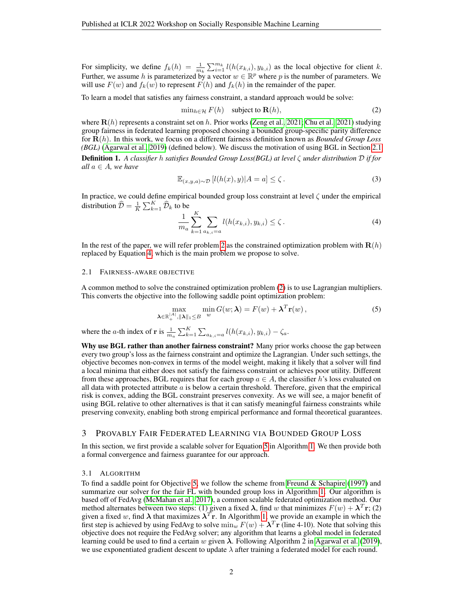For simplicity, we define  $f_k(h) = \frac{1}{m_k} \sum_{i=1}^{m_k} l(h(x_{k,i}), y_{k,i})$  as the local objective for client k. Further, we assume h is parameterized by a vector  $w \in \mathbb{R}^p$  where p is the number of parameters. We will use  $F(w)$  and  $f_k(w)$  to represent  $F(h)$  and  $f_k(h)$  in the remainder of the paper.

To learn a model that satisfies any fairness constraint, a standard approach would be solve:

<span id="page-1-2"></span>
$$
\min_{h \in \mathcal{H}} F(h) \quad \text{subject to } \mathbf{R}(h), \tag{2}
$$

where  $\mathbf{R}(h)$  represents a constraint set on h. Prior works [\(Zeng et al., 2021;](#page-5-0) [Chu et al., 2021\)](#page-4-1) studying group fairness in federated learning proposed choosing a bounded group-specific parity difference for R(h). In this work, we focus on a different fairness definition known as *Bounded Group Loss (BGL)* [\(Agarwal et al., 2019\)](#page-4-3) (defined below). We discuss the motivation of using BGL in Section [2.1](#page-1-1)

Definition 1. *A classifier* h *satisfies Bounded Group Loss(BGL) at level* ζ *under distribution* D *if for all*  $a \in A$ *, we have* 

$$
\mathbb{E}_{(x,y,a)\sim\mathcal{D}}\left[l(h(x),y)|A=a\right] \leq \zeta.
$$
\n(3)

In practice, we could define empirical bounded group loss constraint at level  $\zeta$  under the empirical distribution  $\widehat{\mathcal{D}} = \frac{1}{K} \sum_{k=1}^{K} \widehat{\mathcal{D}}_k$  to be

<span id="page-1-3"></span>
$$
\frac{1}{m_a} \sum_{k=1}^{K} \sum_{a_{k,i}=a} l(h(x_{k,i}), y_{k,i}) \le \zeta.
$$
 (4)

In the rest of the paper, we will refer problem [2](#page-1-2) as the constrained optimization problem with  $\mathbf{R}(h)$ replaced by Equation [4,](#page-1-3) which is the main problem we propose to solve.

#### <span id="page-1-1"></span>2.1 FAIRNESS-AWARE OBJECTIVE

A common method to solve the constrained optimization problem [\(2\)](#page-1-2) is to use Lagrangian multipliers. This converts the objective into the following saddle point optimization problem:

<span id="page-1-4"></span>
$$
\max_{\mathbf{\lambda} \in \mathbb{R}_+^{|A|}, \|\mathbf{\lambda}\|_1 \le B} \min_w G(w; \lambda) = F(w) + \lambda^T \mathbf{r}(w),
$$
\n(5)

where the *a*-th index of **r** is  $\frac{1}{m_a} \sum_{k=1}^{K} \sum_{a_{k,i}=a} l(h(x_{k,i}), y_{k,i}) - \zeta_a$ .

Why use BGL rather than another fairness constraint? Many prior works choose the gap between every two group's loss as the fairness constraint and optimize the Lagrangian. Under such settings, the objective becomes non-convex in terms of the model weight, making it likely that a solver will find a local minima that either does not satisfy the fairness constraint or achieves poor utility. Different from these approaches, BGL requires that for each group  $a \in A$ , the classifier h's loss evaluated on all data with protected attribute  $a$  is below a certain threshold. Therefore, given that the empirical risk is convex, adding the BGL constraint preserves convexity. As we will see, a major benefit of using BGL relative to other alternatives is that it can satisfy meaningful fairness constraints while preserving convexity, enabling both strong empirical performance and formal theoretical guarantees.

# <span id="page-1-0"></span>3 PROVABLY FAIR FEDERATED LEARNING VIA BOUNDED GROUP LOSS

In this section, we first provide a scalable solver for Equation [5](#page-1-4) in Algorithm [1.](#page-7-0) We then provide both a formal convergence and fairness guarantee for our approach.

#### 3.1 ALGORITHM

To find a saddle point for Objective [5,](#page-1-4) we follow the scheme from [Freund & Schapire](#page-4-4) [\(1997\)](#page-4-4) and summarize our solver for the fair FL with bounded group loss in Algorithm [1.](#page-7-0) Our algorithm is based off of FedAvg [\(McMahan et al., 2017\)](#page-4-0), a common scalable federated optimization method. Our method alternates between two steps: (1) given a fixed  $\lambda$ , find w that minimizes  $F(w) + \lambda^T \mathbf{r}$ ; (2) given a fixed w, find  $\lambda$  that maximizes  $\lambda^{T}$ r. In Algorithm [1,](#page-7-0) we provide an example in which the first step is achieved by using FedAvg to solve  $\min_w F(w) + \lambda^T r$  (line 4-10). Note that solving this objective does not require the FedAvg solver; any algorithm that learns a global model in federated learning could be used to find a certain w given  $\lambda$ . Following Algorithm 2 in [Agarwal et al.](#page-4-3) [\(2019\)](#page-4-3), we use exponentiated gradient descent to update  $\lambda$  after training a federated model for each round.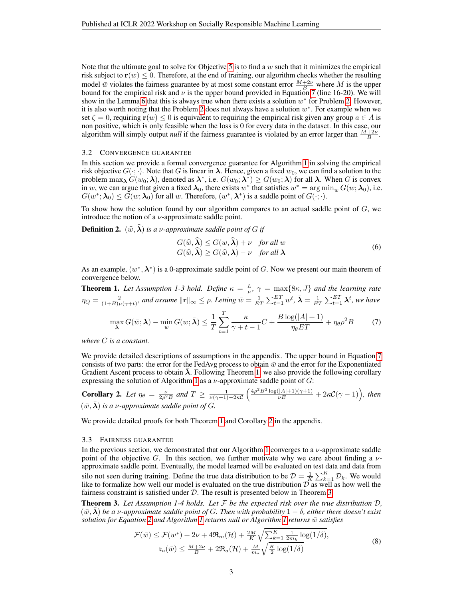Note that the ultimate goal to solve for Objective [5](#page-1-4) is to find a  $w$  such that it minimizes the empirical risk subject to  $r(w) \leq 0$ . Therefore, at the end of training, our algorithm checks whether the resulting model  $\bar{w}$  violates the fairness guarantee by at most some constant error  $\frac{M+2\nu}{B}$  where M is the upper bound for the empirical risk and  $\nu$  is the upper bound provided in Equation [7](#page-2-0) (line 16-20). We will show in the Lemma [6](#page-10-0) that this is always true when there exists a solution  $w^*$  for Problem [2.](#page-1-2) However, it is also worth noting that the Problem [2](#page-1-2) does not always have a solution  $w^*$ . For example when we set  $\zeta = 0$ , requiring  $\mathbf{r}(w) \leq 0$  is equivalent to requiring the empirical risk given any group  $a \in A$  is non positive, which is only feasible when the loss is 0 for every data in the dataset. In this case, our algorithm will simply output *null* if the fairness guarantee is violated by an error larger than  $\frac{M+2\nu}{B}$ .

#### 3.2 CONVERGENCE GUARANTEE

In this section we provide a formal convergence guarantee for Algorithm [1](#page-7-0) in solving the empirical risk objective  $G(\cdot;\cdot)$ . Note that G is linear in  $\lambda$ . Hence, given a fixed  $w_0$ , we can find a solution to the problem  $\max_{\lambda} G(w_0; \lambda)$ , denoted as  $\lambda^*$ , i.e.  $G(w_0; \lambda^*) \geq G(w_0; \lambda)$  for all  $\lambda$ . When G is convex in w, we can argue that given a fixed  $\lambda_0$ , there exists  $w^*$  that satisfies  $w^* = \arg \min_w G(w; \lambda_0)$ , i.e.  $G(w^*; \lambda_0) \leq \tilde{G}(w; \lambda_0)$  for all w. Therefore,  $(w^*, \lambda^*)$  is a saddle point of  $G(\cdot; \cdot)$ .

To show how the solution found by our algorithm compares to an actual saddle point of  $G$ , we introduce the notion of a  $\nu$ -approximate saddle point.

**Definition 2.**  $(\widehat{w}, \widehat{\lambda})$  *is a v-approximate saddle point of G if* 

$$
G(\widehat{w}, \widehat{\lambda}) \le G(w, \widehat{\lambda}) + \nu \quad \text{for all } w
$$
  

$$
G(\widehat{w}, \widehat{\lambda}) \ge G(\widehat{w}, \lambda) - \nu \quad \text{for all } \lambda
$$
 (6)

As an example,  $(w^*, \lambda^*)$  is a 0-approximate saddle point of G. Now we present our main theorem of convergence below.

<span id="page-2-1"></span>**Theorem 1.** Let Assumption 1-3 hold. Define  $\kappa = \frac{L}{\mu}$ ,  $\gamma = \max\{8\kappa, J\}$  and the learning rate  $\eta_Q = \frac{2}{(1+B)\mu(\gamma+t)}$ , and assume  $\|\mathbf{r}\|_{\infty} \leq \rho$ . Letting  $\bar{w} = \frac{1}{ET}\sum_{t=1}^{ET}w^t$ ,  $\bar{\boldsymbol{\lambda}} = \frac{1}{ET}\sum_{t=1}^{ET}\boldsymbol{\lambda}^t$ , we have

<span id="page-2-0"></span>
$$
\max_{\lambda} G(\bar{w}; \lambda) - \min_{w} G(w; \bar{\lambda}) \le \frac{1}{T} \sum_{t=1}^{T} \frac{\kappa}{\gamma + t - 1} C + \frac{B \log(|A| + 1)}{\eta_{\theta} ET} + \eta_{\theta} \rho^2 B \tag{7}
$$

*where* C *is a constant.*

We provide detailed descriptions of assumptions in the appendix. The upper bound in Equation [7](#page-2-0) consists of two parts: the error for the FedAvg process to obtain  $\bar{w}$  and the error for the Exponentiated Gradient Ascent process to obtain  $\lambda$ . Following Theorem [1,](#page-2-1) we also provide the following corollary expressing the solution of Algorithm [1](#page-7-0) as a  $\nu$ -approximate saddle point of  $G$ :

<span id="page-2-2"></span>**Corollary 2.** Let  $\eta_{\theta} = \frac{\nu}{2\rho^2 B}$  and  $T \ge \frac{1}{\nu(\gamma+1)-2\kappa C} \left( \frac{4\rho^2 B^2 \log(|A|+1)(\gamma+1)}{\nu E} + 2\kappa C(\gamma-1) \right)$ , then  $(\bar{w}, \bar{\boldsymbol{\lambda}})$  *is a v-approximate saddle point of* G.

We provide detailed proofs for both Theorem [1](#page-2-1) and Corollary [2](#page-2-2) in the appendix.

#### 3.3 FAIRNESS GUARANTEE

In the previous section, we demonstrated that our Algorithm [1](#page-7-0) converges to a  $\nu$ -approximate saddle point of the objective G. In this section, we further motivate why we care about finding a  $\nu$ approximate saddle point. Eventually, the model learned will be evaluated on test data and data from silo not seen during training. Define the true data distribution to be  $\mathcal{D} = \frac{1}{K} \sum_{k=1}^{K} \mathcal{D}_k$ . We would like to formalize how well our model is evaluated on the true distribution  $\hat{\mathcal{D}}$  as well as how well the fairness constraint is satisfied under D. The result is presented below in Theorem [3.](#page-2-3)

<span id="page-2-3"></span>Theorem 3. *Let Assumption 1-4 holds. Let* F *be the expected risk over the true distribution* D*,*  $(\bar{w}, \bar{\boldsymbol{\lambda}})$  *be a* v-approximate saddle point of G. Then with probability  $1 - \delta$ , either there doesn't exist *solution for Equation [2](#page-1-2) and Algorithm [1](#page-7-0) returns null or Algorithm [1](#page-7-0) returns* w¯ *satisfies*

<span id="page-2-4"></span>
$$
\mathcal{F}(\bar{w}) \le \mathcal{F}(w^*) + 2\nu + 4\Re_m(\mathcal{H}) + \frac{2M}{K}\sqrt{\sum_{k=1}^K \frac{1}{2m_k} \log(1/\delta)},
$$
  
\n
$$
\mathfrak{r}_a(\bar{w}) \le \frac{M+2\nu}{B} + 2\Re_a(\mathcal{H}) + \frac{M}{m_a}\sqrt{\frac{K}{2} \log(1/\delta)}.
$$
\n(8)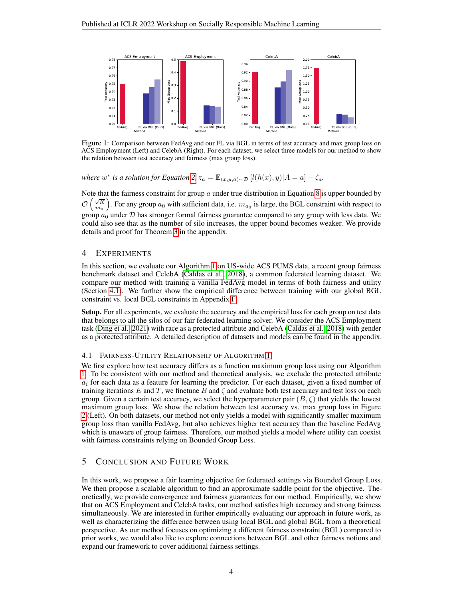

Figure 1: Comparison between FedAvg and our FL via BGL in terms of test accuracy and max group loss on ACS Employment (Left) and CelebA (Right). For each dataset, we select three models for our method to show the relation between test accuracy and fairness (max group loss).

*where*  $w^*$  *is a solution for Equation* [2,](#page-1-2)  $\mathfrak{r}_a = \mathbb{E}_{(x,y,a)\sim \mathcal{D}}[l(h(x), y)|A = a] - \zeta_a$ .

Note that the fairness constraint for group  $\alpha$  under true distribution in Equation [8](#page-2-4) is upper bounded by  $\mathcal{O}\left(\frac{\sqrt{K}}{m_a}\right)$ . For any group  $a_0$  with sufficient data, i.e.  $m_{a_0}$  is large, the BGL constraint with respect to group  $a_0$  under  $D$  has stronger formal fairness guarantee compared to any group with less data. We could also see that as the number of silo increases, the upper bound becomes weaker. We provide details and proof for Theorem [3](#page-2-3) in the appendix.

# <span id="page-3-0"></span>4 EXPERIMENTS

In this section, we evaluate our Algorithm [1](#page-7-0) on US-wide ACS PUMS data, a recent group fairness benchmark dataset and CelebA [\(Caldas et al., 2018\)](#page-4-5), a common federated learning dataset. We compare our method with training a vanilla FedAvg model in terms of both fairness and utility (Section [4.1\)](#page-3-1). We further show the empirical difference between training with our global BGL constraint vs. local BGL constraints in Appendix [F.](#page-11-0)

Setup. For all experiments, we evaluate the accuracy and the empirical loss for each group on test data that belongs to all the silos of our fair federated learning solver. We consider the ACS Employment task [\(Ding et al., 2021\)](#page-4-6) with race as a protected attribute and CelebA [\(Caldas et al., 2018\)](#page-4-5) with gender as a protected attribute. A detailed description of datasets and models can be found in the appendix.

#### <span id="page-3-1"></span>4.1 FAIRNESS-UTILITY RELATIONSHIP OF ALGORITHM [1](#page-7-0)

We first explore how test accuracy differs as a function maximum group loss using our Algorithm [1.](#page-7-0) To be consistent with our method and theoretical analysis, we exclude the protected attribute  $a_i$  for each data as a feature for learning the predictor. For each dataset, given a fixed number of training iterations E and T, we finetune B and  $\zeta$  and evaluate both test accuracy and test loss on each group. Given a certain test accuracy, we select the hyperparameter pair  $(B, \zeta)$  that yields the lowest maximum group loss. We show the relation between test accuracy vs. max group loss in Figure [2](#page-11-1) (Left). On both datasets, our method not only yields a model with significantly smaller maximum group loss than vanilla FedAvg, but also achieves higher test accuracy than the baseline FedAvg which is unaware of group fairness. Therefore, our method yields a model where utility can coexist with fairness constraints relying on Bounded Group Loss.

# 5 CONCLUSION AND FUTURE WORK

In this work, we propose a fair learning objective for federated settings via Bounded Group Loss. We then propose a scalable algorithm to find an approximate saddle point for the objective. Theoretically, we provide convergence and fairness guarantees for our method. Empirically, we show that on ACS Employment and CelebA tasks, our method satisfies high accuracy and strong fairness simultaneously. We are interested in further empirically evaluating our approach in future work, as well as characterizing the difference between using local BGL and global BGL from a theoretical perspective. As our method focuses on optimizing a different fairness constraint (BGL) compared to prior works, we would also like to explore connections between BGL and other fairness notions and expand our framework to cover additional fairness settings.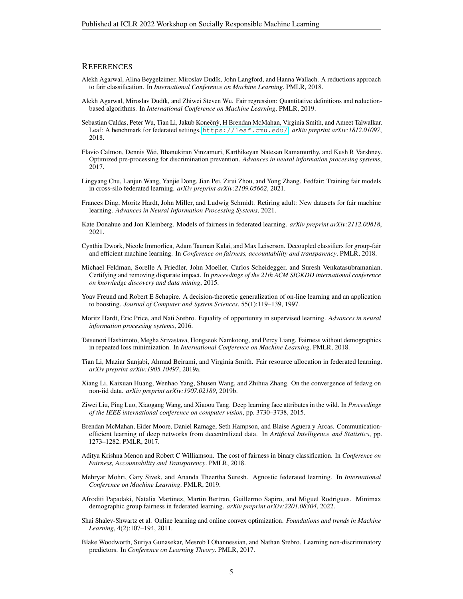#### **REFERENCES**

- <span id="page-4-13"></span>Alekh Agarwal, Alina Beygelzimer, Miroslav Dudík, John Langford, and Hanna Wallach. A reductions approach to fair classification. In *International Conference on Machine Learning*. PMLR, 2018.
- <span id="page-4-3"></span>Alekh Agarwal, Miroslav Dudík, and Zhiwei Steven Wu. Fair regression: Quantitative definitions and reductionbased algorithms. In *International Conference on Machine Learning*. PMLR, 2019.
- <span id="page-4-5"></span>Sebastian Caldas, Peter Wu, Tian Li, Jakub Konečnỳ, H Brendan McMahan, Virginia Smith, and Ameet Talwalkar. Leaf: A benchmark for federated settings, <https://leaf.cmu.edu/>. *arXiv preprint arXiv:1812.01097*, 2018.
- <span id="page-4-9"></span>Flavio Calmon, Dennis Wei, Bhanukiran Vinzamuri, Karthikeyan Natesan Ramamurthy, and Kush R Varshney. Optimized pre-processing for discrimination prevention. *Advances in neural information processing systems*, 2017.
- <span id="page-4-1"></span>Lingyang Chu, Lanjun Wang, Yanjie Dong, Jian Pei, Zirui Zhou, and Yong Zhang. Fedfair: Training fair models in cross-silo federated learning. *arXiv preprint arXiv:2109.05662*, 2021.
- <span id="page-4-6"></span>Frances Ding, Moritz Hardt, John Miller, and Ludwig Schmidt. Retiring adult: New datasets for fair machine learning. *Advances in Neural Information Processing Systems*, 2021.
- <span id="page-4-18"></span>Kate Donahue and Jon Kleinberg. Models of fairness in federated learning. *arXiv preprint arXiv:2112.00818*, 2021.
- <span id="page-4-11"></span>Cynthia Dwork, Nicole Immorlica, Adam Tauman Kalai, and Max Leiserson. Decoupled classifiers for group-fair and efficient machine learning. In *Conference on fairness, accountability and transparency*. PMLR, 2018.
- <span id="page-4-8"></span>Michael Feldman, Sorelle A Friedler, John Moeller, Carlos Scheidegger, and Suresh Venkatasubramanian. Certifying and removing disparate impact. In *proceedings of the 21th ACM SIGKDD international conference on knowledge discovery and data mining*, 2015.
- <span id="page-4-4"></span>Yoav Freund and Robert E Schapire. A decision-theoretic generalization of on-line learning and an application to boosting. *Journal of Computer and System Sciences*, 55(1):119–139, 1997.
- <span id="page-4-10"></span>Moritz Hardt, Eric Price, and Nati Srebro. Equality of opportunity in supervised learning. *Advances in neural information processing systems*, 2016.
- <span id="page-4-15"></span>Tatsunori Hashimoto, Megha Srivastava, Hongseok Namkoong, and Percy Liang. Fairness without demographics in repeated loss minimization. In *International Conference on Machine Learning*. PMLR, 2018.
- <span id="page-4-17"></span>Tian Li, Maziar Sanjabi, Ahmad Beirami, and Virginia Smith. Fair resource allocation in federated learning. *arXiv preprint arXiv:1905.10497*, 2019a.
- <span id="page-4-19"></span>Xiang Li, Kaixuan Huang, Wenhao Yang, Shusen Wang, and Zhihua Zhang. On the convergence of fedavg on non-iid data. *arXiv preprint arXiv:1907.02189*, 2019b.
- <span id="page-4-7"></span>Ziwei Liu, Ping Luo, Xiaogang Wang, and Xiaoou Tang. Deep learning face attributes in the wild. In *Proceedings of the IEEE international conference on computer vision*, pp. 3730–3738, 2015.
- <span id="page-4-0"></span>Brendan McMahan, Eider Moore, Daniel Ramage, Seth Hampson, and Blaise Aguera y Arcas. Communicationefficient learning of deep networks from decentralized data. In *Artificial Intelligence and Statistics*, pp. 1273–1282. PMLR, 2017.
- <span id="page-4-12"></span>Aditya Krishna Menon and Robert C Williamson. The cost of fairness in binary classification. In *Conference on Fairness, Accountability and Transparency*. PMLR, 2018.
- <span id="page-4-16"></span>Mehryar Mohri, Gary Sivek, and Ananda Theertha Suresh. Agnostic federated learning. In *International Conference on Machine Learning*. PMLR, 2019.
- <span id="page-4-2"></span>Afroditi Papadaki, Natalia Martinez, Martin Bertran, Guillermo Sapiro, and Miguel Rodrigues. Minimax demographic group fairness in federated learning. *arXiv preprint arXiv:2201.08304*, 2022.
- <span id="page-4-20"></span>Shai Shalev-Shwartz et al. Online learning and online convex optimization. *Foundations and trends in Machine Learning*, 4(2):107–194, 2011.
- <span id="page-4-14"></span>Blake Woodworth, Suriya Gunasekar, Mesrob I Ohannessian, and Nathan Srebro. Learning non-discriminatory predictors. In *Conference on Learning Theory*. PMLR, 2017.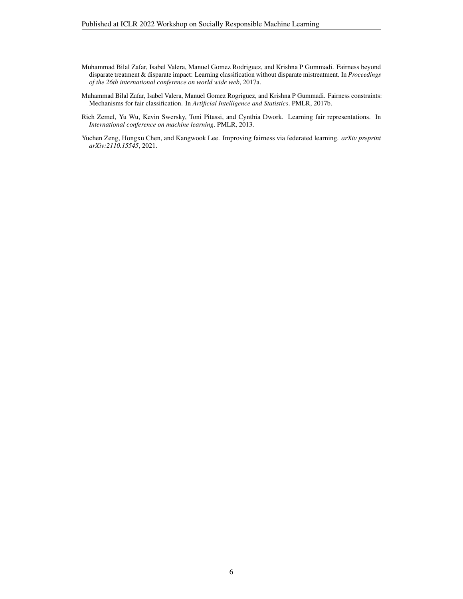- <span id="page-5-2"></span>Muhammad Bilal Zafar, Isabel Valera, Manuel Gomez Rodriguez, and Krishna P Gummadi. Fairness beyond disparate treatment & disparate impact: Learning classification without disparate mistreatment. In *Proceedings of the 26th international conference on world wide web*, 2017a.
- <span id="page-5-3"></span>Muhammad Bilal Zafar, Isabel Valera, Manuel Gomez Rogriguez, and Krishna P Gummadi. Fairness constraints: Mechanisms for fair classification. In *Artificial Intelligence and Statistics*. PMLR, 2017b.
- <span id="page-5-1"></span>Rich Zemel, Yu Wu, Kevin Swersky, Toni Pitassi, and Cynthia Dwork. Learning fair representations. In *International conference on machine learning*. PMLR, 2013.
- <span id="page-5-0"></span>Yuchen Zeng, Hongxu Chen, and Kangwook Lee. Improving fairness via federated learning. *arXiv preprint arXiv:2110.15545*, 2021.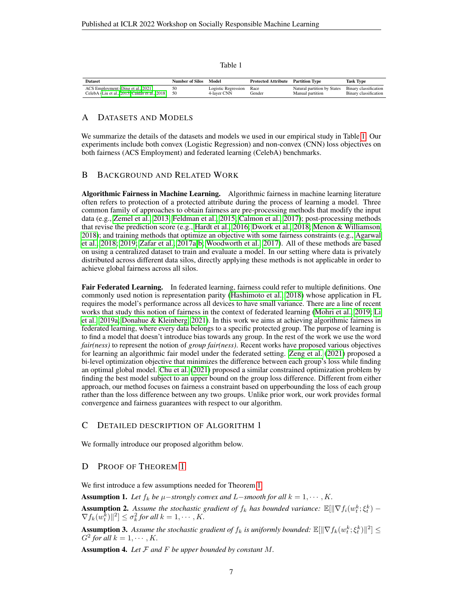Table 1

<span id="page-6-1"></span>

| <b>Dataset</b>                                    | Number of Silos | Model                    | <b>Protected Attribute</b> Partition Type |                             | Task Type             |
|---------------------------------------------------|-----------------|--------------------------|-------------------------------------------|-----------------------------|-----------------------|
| ACS Employment (Ding et al., 2021)                |                 | Logistic Regression Race |                                           | Natural partition by States | Binary classification |
| CelebA (Liu et al., 2015; Caldas et al., 2018) 50 |                 | 4-layer CNN              | Gender                                    | Manual partition            | Binary classification |

### A DATASETS AND MODELS

We summarize the details of the datasets and models we used in our empirical study in Table [1.](#page-6-1) Our experiments include both convex (Logistic Regression) and non-convex (CNN) loss objectives on both fairness (ACS Employment) and federated learning (CelebA) benchmarks.

# <span id="page-6-0"></span>B BACKGROUND AND RELATED WORK

Algorithmic Fairness in Machine Learning. Algorithmic fairness in machine learning literature often refers to protection of a protected attribute during the process of learning a model. Three common family of approaches to obtain fairness are pre-processing methods that modify the input data (e.g., [Zemel et al., 2013;](#page-5-1) [Feldman et al., 2015;](#page-4-8) [Calmon et al., 2017\)](#page-4-9); post-processing methods that revise the prediction score (e.g., [Hardt et al., 2016;](#page-4-10) [Dwork et al., 2018;](#page-4-11) [Menon & Williamson,](#page-4-12) [2018\)](#page-4-12); and training methods that optimize an objective with some fairness constraints (e.g., [Agarwal](#page-4-13) [et al., 2018;](#page-4-13) [2019;](#page-4-3) [Zafar et al., 2017a](#page-5-2)[;b;](#page-5-3) [Woodworth et al., 2017\)](#page-4-14). All of these methods are based on using a centralized dataset to train and evaluate a model. In our setting where data is privately distributed across different data silos, directly applying these methods is not applicable in order to achieve global fairness across all silos.

Fair Federated Learning. In federated learning, fairness could refer to multiple definitions. One commonly used notion is representation parity [\(Hashimoto et al., 2018\)](#page-4-15) whose application in FL requires the model's performance across all devices to have small variance. There are a line of recent works that study this notion of fairness in the context of federated learning [\(Mohri et al., 2019;](#page-4-16) [Li](#page-4-17) [et al., 2019a;](#page-4-17) [Donahue & Kleinberg, 2021\)](#page-4-18). In this work we aims at achieving algorithmic fairness in federated learning, where every data belongs to a specific protected group. The purpose of learning is to find a model that doesn't introduce bias towards any group. In the rest of the work we use the word *fair(ness)* to represent the notion of *group fair(ness)*. Recent works have proposed various objectives for learning an algorithmic fair model under the federated setting. [Zeng et al.](#page-5-0) [\(2021\)](#page-5-0) proposed a bi-level optimization objective that minimizes the difference between each group's loss while finding an optimal global model. [Chu et al.](#page-4-1) [\(2021\)](#page-4-1) proposed a similar constrained optimization problem by finding the best model subject to an upper bound on the group loss difference. Different from either approach, our method focuses on fairness a constraint based on upperbounding the loss of each group rather than the loss difference between any two groups. Unlike prior work, our work provides formal convergence and fairness guarantees with respect to our algorithm.

# C DETAILED DESCRIPTION OF ALGORITHM 1

We formally introduce our proposed algorithm below.

# D PROOF OF THEOREM [1](#page-2-1)

We first introduce a few assumptions needed for Theorem [1.](#page-2-1)

Assumption 1. Let  $f_k$  be  $\mu$ −*strongly convex and* L−*smooth for all*  $k = 1, \dots, K$ .

**Assumption 2.** Assume the stochastic gradient of  $f_k$  has bounded variance:  $\mathbb{E}[\|\nabla f_i(w_t^k; \xi_t^k) - \xi_t\|]$  $\nabla f_k(w_t^{\overline{k}})$ ||<sup>2</sup>]  $\leq \sigma_k^2$  for all  $k = 1, \cdots, K$ .

**Assumption 3.** Assume the stochastic gradient of  $f_k$  is uniformly bounded:  $\mathbb{E}[\|\nabla f_k(w_t^k; \xi_t^k)\|^2] \leq$  $G^2$  for all  $k = 1, \cdots, K$ .

Assumption 4. *Let* F *and* F *be upper bounded by constant* M*.*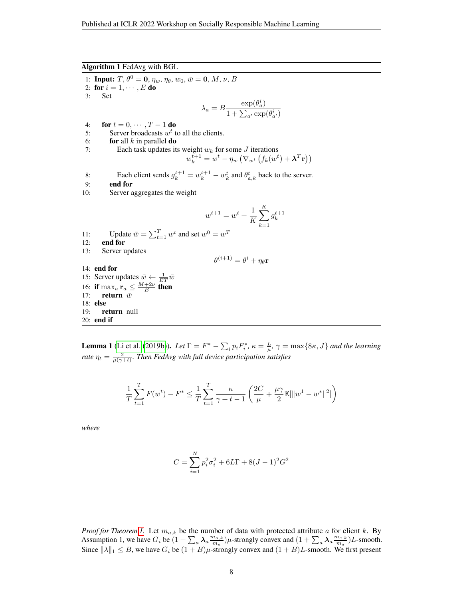<span id="page-7-0"></span>Algorithm 1 FedAvg with BGL

1: **Input:**  $T, \theta^0 = 0, \eta_w, \eta_{\theta}, w_0, \bar{w} = 0, M, \nu, B$ 2: for  $i = 1, \dots, E$  do 3: Set  $\lambda_a = B \frac{\exp(\theta_a^i)}{1 + \sum_{i=1}^n \cdots}$  $1 + \sum_{a'} \exp(\theta_{a'}^i)$ 4: for  $t = 0, \cdots, T-1$  do 5: Server broadcasts  $w<sup>t</sup>$  to all the clients. 6: **for** all k in parallel **do** 7: Each task updates its weight  $w_k$  for some  $J$  iterations  $w_k^{t+1} = w^t - \eta_w \left( \nabla_{w^t} \left( f_k(w^t) + \boldsymbol{\lambda}^T \mathbf{r} \right) \right)$ 8: Each client sends  $g_k^{t+1} = w_k^{t+1} - w_k^t$  and  $\theta_{a,k}^t$  back to the server. 9: end for 10: Server aggregates the weight  $w^{t+1} = w^t + \frac{1}{L}$ K  $\sum_{k=1}^{K}$  $k=1$  $g_k^{t+1}$ 11: Update  $\bar{w} = \sum_{t=1}^{T} w^t$  and set  $w^0 = w^T$ 12: end for 13: Server updates  $\theta^{(i+1)} = \theta^i + \eta_\theta \mathbf{r}$ 14: end for 15: Server updates  $\bar{w} \leftarrow \frac{1}{ET} \bar{w}$ 16: if  $\max_a \mathbf{r}_a \leq \frac{M+2\nu}{B}$  then 17: **return**  $\bar{w}$ 18: else 19: return null 20: end if

**Lemma 1** [\(Li et al.](#page-4-19) [\(2019b\)](#page-4-19)). Let  $\Gamma = F^* - \sum_i p_i F_i^*$ ,  $\kappa = \frac{L}{\mu}$ ,  $\gamma = \max\{8\kappa, J\}$  and the learning *rate*  $\eta_t = \frac{2}{\mu(\gamma+t)}$ . *Then FedAvg with full device participation satisfies* 

$$
\frac{1}{T} \sum_{t=1}^{T} F(w^t) - F^* \le \frac{1}{T} \sum_{t=1}^{T} \frac{\kappa}{\gamma + t - 1} \left( \frac{2C}{\mu} + \frac{\mu \gamma}{2} \mathbb{E}[\|w^1 - w^*\|^2] \right)
$$

*where*

$$
C = \sum_{i=1}^{N} p_i^2 \sigma_i^2 + 6L\Gamma + 8(J-1)^2 G^2
$$

*Proof for Theorem [1.](#page-2-1)* Let  $m_{a,k}$  be the number of data with protected attribute a for client k. By Assumption 1, we have  $G_i$  be  $(1 + \sum_a \lambda_a \frac{m_{a,k}}{m_a})$  $\frac{m_{a,k}}{m_a}$ ) $\mu$ -strongly convex and  $(1 + \sum_a \lambda_a \frac{m_{a,k}}{m_a})$  $\frac{m_{a,k}}{m_a}$ ) L-smooth. Since  $||\lambda||_1 \leq B$ , we have  $G_i$  be  $(1 + B)\mu$ -strongly convex and  $(1 + B)L$ -smooth. We first present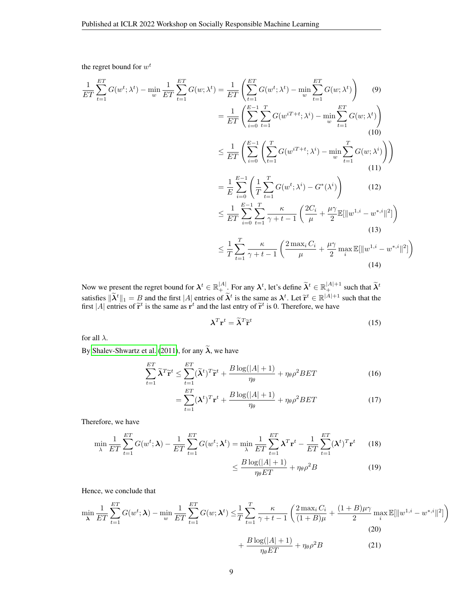the regret bound for  $w^t$ 

$$
\frac{1}{ET} \sum_{t=1}^{ET} G(w^t; \lambda^t) - \min_{w} \frac{1}{ET} \sum_{t=1}^{ET} G(w; \lambda^t) = \frac{1}{ET} \left( \sum_{t=1}^{ET} G(w^t; \lambda^t) - \min_{w} \sum_{t=1}^{ET} G(w; \lambda^t) \right) \tag{9}
$$
\n
$$
= \frac{1}{ET} \left( \sum_{i=0}^{E-1} \sum_{t=1}^{T} G(w^{iT+t}; \lambda^i) - \min_{w} \sum_{t=1}^{ET} G(w; \lambda^t) \right) \tag{10}
$$
\n
$$
\leq \frac{1}{ET} \left( \sum_{i=0}^{E-1} \left( \sum_{t=1}^{T} G(w^{iT+t}; \lambda^i) - \min_{w} \sum_{t=1}^{T} G(w; \lambda^i) \right) \right) \tag{11}
$$
\n
$$
= \frac{1}{E} \sum_{i=0}^{E-1} \left( \frac{1}{T} \sum_{t=1}^{T} G(w^t; \lambda^i) - G^*(\lambda^i) \right) \tag{12}
$$
\n
$$
\leq \frac{1}{ET} \sum_{i=0}^{E-1} \sum_{t=1}^{T} \frac{\kappa}{\gamma + t - 1} \left( \frac{2C_i}{\mu} + \frac{\mu \gamma}{2} \mathbb{E}[\|w^{1,i} - w^{*,i}\|^2] \right) \tag{13}
$$
\n
$$
\leq \frac{1}{T} \sum_{t=1}^{T} \frac{\kappa}{\gamma + t - 1} \left( \frac{2 \max_i C_i}{\mu} + \frac{\mu \gamma}{2} \max_i \mathbb{E}[\|w^{1,i} - w^{*,i}\|^2] \right) \tag{14}
$$

Now we present the regret bound for  $\lambda^t \in \mathbb{R}^{|A|}_+$ . For any  $\lambda^t$ , let's define  $\widetilde{\lambda}^t \in \mathbb{R}^{|A|+1}_+$  such that  $\widetilde{\lambda}^t$ satisfies  $\|\tilde{\lambda}^t\|_1 = B$  and the first  $|A|$  entries of  $\tilde{\lambda}^t$  is the same as  $\lambda^t$ . Let  $\tilde{r}^t \in \mathbb{R}^{|A|+1}$  such that the first  $|A|$  entries of  $\tilde{r}^t$  is the same as  $r^t$  and the last entry of  $\tilde{r}$ first |A| entries of  $\tilde{\mathbf{r}}^t$  is the same as  $\mathbf{r}^t$  and the last entry of  $\tilde{\mathbf{r}}^t$  is 0. Therefore, we have

$$
\lambda^T \mathbf{r}^t = \widetilde{\lambda}^T \widetilde{\mathbf{r}}^t \tag{15}
$$

for all  $\lambda$ .

By [Shalev-Shwartz et al.](#page-4-20) [\(2011\)](#page-4-20), for any  $\widetilde{\lambda}$ , we have

$$
\sum_{t=1}^{ET} \tilde{\lambda}^T \tilde{\mathbf{r}}^t \le \sum_{t=1}^{ET} (\tilde{\lambda}^t)^T \tilde{\mathbf{r}}^t + \frac{B \log(|A|+1)}{\eta_{\theta}} + \eta_{\theta} \rho^2 BET \tag{16}
$$

$$
= \sum_{t=1}^{ET} (\lambda^t)^T \mathbf{r}^t + \frac{B \log(|A|+1)}{\eta_{\theta}} + \eta_{\theta} \rho^2 BET \tag{17}
$$

Therefore, we have

$$
\min_{\lambda} \frac{1}{ET} \sum_{t=1}^{ET} G(w^t; \lambda) - \frac{1}{ET} \sum_{t=1}^{ET} G(w^t; \lambda^t) = \min_{\lambda} \frac{1}{ET} \sum_{t=1}^{ET} \lambda^T \mathbf{r}^t - \frac{1}{ET} \sum_{t=1}^{ET} (\lambda^t)^T \mathbf{r}^t
$$
(18)

$$
\leq \frac{B\log(|A|+1)}{\eta_{\theta}ET} + \eta_{\theta}\rho^2 B\tag{19}
$$

Hence, we conclude that

$$
\min_{\lambda} \frac{1}{ET} \sum_{t=1}^{ET} G(w^t; \lambda) - \min_{w} \frac{1}{ET} \sum_{t=1}^{ET} G(w; \lambda^t) \leq \frac{1}{T} \sum_{t=1}^{T} \frac{\kappa}{\gamma + t - 1} \left( \frac{2 \max_{i} C_i}{(1 + B)\mu} + \frac{(1 + B)\mu \gamma}{2} \max_{i} \mathbb{E}[\|w^{1,i} - w^{*,i}\|^2] \right)
$$
\n
$$
+ \frac{B \log(|A| + 1)}{\eta_{\theta} ET} + \eta_{\theta} \rho^2 B
$$
\n(21)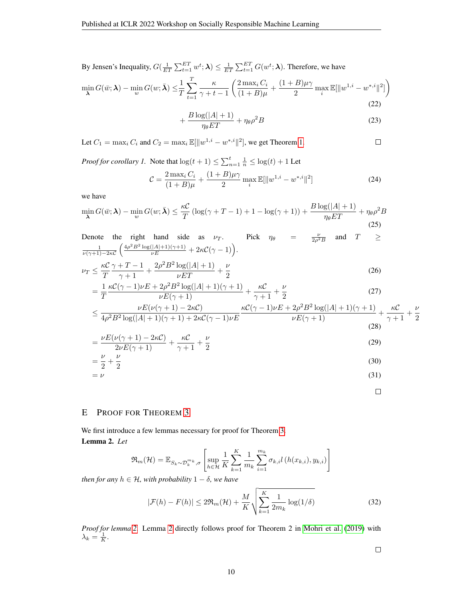By Jensen's Inequality,  $G(\frac{1}{ET}\sum_{t=1}^{ET}w^t;\lambda) \leq \frac{1}{ET}\sum_{t=1}^{ET}G(w^t;\lambda)$ . Therefore, we have

$$
\min_{\lambda} G(\bar{w}; \lambda) - \min_{w} G(w; \bar{\lambda}) \leq \frac{1}{T} \sum_{t=1}^{T} \frac{\kappa}{\gamma + t - 1} \left( \frac{2 \max_{i} C_{i}}{(1 + B)\mu} + \frac{(1 + B)\mu\gamma}{2} \max_{i} \mathbb{E}[\|w^{1,i} - w^{*,i}\|^{2}]\right)
$$
\n(22)

$$
+\frac{B\log(|A|+1)}{\eta_{\theta}ET}+\eta_{\theta}\rho^2B\tag{23}
$$

Let  $C_1 = \max_i C_i$  and  $C_2 = \max_i \mathbb{E}[\|w^{1,i} - w^{*,i}\|^2]$ , we get Theorem [1.](#page-2-1)

*Proof for corollary 1.* Note that  $\log(t+1) \le \sum_{n=1}^{t} \frac{1}{n} \le \log(t) + 1$  Let

$$
\mathcal{C} = \frac{2 \max_i C_i}{(1+B)\mu} + \frac{(1+B)\mu\gamma}{2} \max_i \mathbb{E}[\|w^{1,i} - w^{*,i}\|^2]
$$
(24)

we have

$$
\min_{\lambda} G(\bar{w}; \lambda) - \min_{w} G(w; \bar{\lambda}) \le \frac{\kappa C}{T} \left( \log(\gamma + T - 1) + 1 - \log(\gamma + 1) \right) + \frac{B \log(|A| + 1)}{\eta_{\theta} ET} + \eta_{\theta} \rho^2 B
$$
\n(25)

Denote the right hand side as 
$$
\nu_T
$$
. Pick  $\eta_\theta = \frac{\nu}{2\rho^2 B}$  and  $T \ge \frac{1}{\nu(\gamma+1)-2\kappa C} \left( \frac{4\rho^2 B^2 \log(|A|+1)(\gamma+1)}{\nu E} + 2\kappa C(\gamma-1) \right)$ .

$$
\nu_T \le \frac{\kappa C}{T} \frac{\gamma + T - 1}{\gamma + 1} + \frac{2\rho^2 B^2 \log(|A| + 1)}{\nu ET} + \frac{\nu}{2}
$$
\n(26)

$$
=\frac{1}{T}\frac{\kappa\mathcal{C}(\gamma-1)\nu E+2\rho^2 B^2\log(|A|+1)(\gamma+1)}{\nu E(\gamma+1)}+\frac{\kappa\mathcal{C}}{\gamma+1}+\frac{\nu}{2}
$$
\n(27)

$$
\leq \frac{\nu E(\nu(\gamma+1)-2\kappa \mathcal{C})}{4\rho^2 B^2 \log(|A|+1)(\gamma+1)+2\kappa \mathcal{C}(\gamma-1)\nu E} \frac{\kappa \mathcal{C}(\gamma-1)\nu E+2\rho^2 B^2 \log(|A|+1)(\gamma+1)}{\nu E(\gamma+1)}+\frac{\kappa \mathcal{C}}{\gamma+1}+\frac{\nu}{2}
$$
\n(28)

$$
=\frac{\nu E(\nu(\gamma+1)-2\kappa C)}{2\nu E(\gamma+1)}+\frac{\kappa C}{\gamma+1}+\frac{\nu}{2}
$$
\n(29)

$$
=\frac{\nu}{2} + \frac{\nu}{2}
$$
\n
$$
=\nu
$$
\n(30)\n(31)

$$
f_{\rm{max}}
$$

 $\Box$ 

 $\Box$ 

# E PROOF FOR THEOREM [3](#page-2-3)

<span id="page-9-0"></span>We first introduce a few lemmas necessary for proof for Theorem [3.](#page-2-3) Lemma 2. *Let*

$$
\mathfrak{R}_{m}(\mathcal{H}) = \mathbb{E}_{S_k \sim \mathcal{D}_k^{m_k}, \sigma} \left[ \sup_{h \in \mathcal{H}} \frac{1}{K} \sum_{k=1}^K \frac{1}{m_k} \sum_{i=1}^{m_k} \sigma_{k,i} l\left(h(x_{k,i}), y_{k,i}\right) \right]
$$

*then for any*  $h \in H$ *, with probability*  $1 - \delta$ *, we have* 

$$
|\mathcal{F}(h) - F(h)| \le 2\Re_m(\mathcal{H}) + \frac{M}{K} \sqrt{\sum_{k=1}^K \frac{1}{2m_k} \log(1/\delta)}
$$
(32)

*Proof for lemma [2.](#page-9-0)* Lemma [2](#page-9-0) directly follows proof for Theorem 2 in [Mohri et al.](#page-4-16) [\(2019\)](#page-4-16) with  $\lambda_k = \frac{1}{K}.$ 

 $\Box$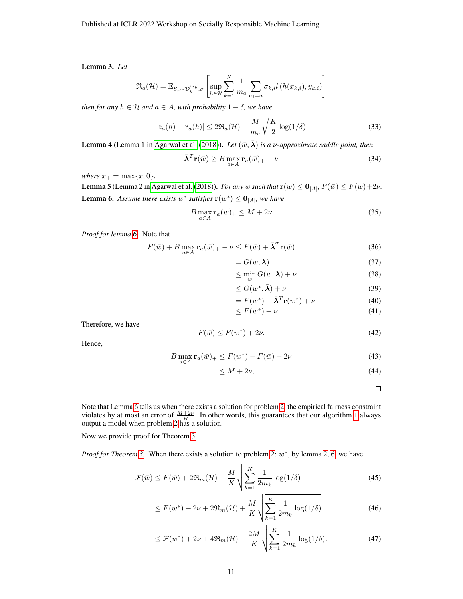<span id="page-10-1"></span>Lemma 3. *Let*

$$
\mathfrak{R}_a(\mathcal{H}) = \mathbb{E}_{S_k \sim \mathcal{D}_k^{m_k}, \sigma} \left[ \sup_{h \in \mathcal{H}} \sum_{k=1}^K \frac{1}{m_a} \sum_{a_i = a} \sigma_{k,i} l\left(h(x_{k,i}), y_{k,i}\right) \right]
$$

*then for any*  $h \in \mathcal{H}$  *and*  $a \in A$ *, with probability*  $1 - \delta$ *, we have* 

$$
|\mathfrak{r}_a(h) - \mathfrak{r}_a(h)| \le 2\Re_a(\mathcal{H}) + \frac{M}{m_a} \sqrt{\frac{K}{2} \log(1/\delta)}
$$
(33)

**Lemma 4** (Lemma 1 in [Agarwal et al.](#page-4-13) [\(2018\)](#page-4-13)). Let  $(\bar{w}, \bar{\boldsymbol{\lambda}})$  *is a v-approximate saddle point, then* 

$$
\bar{\lambda}^T \mathbf{r}(\bar{w}) \ge B \max_{a \in A} \mathbf{r}_a(\bar{w})_+ - \nu \tag{34}
$$

*where*  $x_{+} = \max\{x, 0\}$ *.* 

<span id="page-10-0"></span>**Lemma 5** (Lemma 2 in [Agarwal et al.](#page-4-13) [\(2018\)](#page-4-13)). *For any* w *such that*  $\mathbf{r}(w) \le \mathbf{0}_{|A|}$ ,  $F(\bar{w}) \le F(w) + 2\nu$ . **Lemma 6.** Assume there exists  $w^*$  satisfies  $\mathbf{r}(w^*) \leq \mathbf{0}_{|A|}$ , we have

$$
B\max_{a\in A} \mathbf{r}_a(\bar{w})_+ \le M + 2\nu \tag{35}
$$

*Proof for lemma [6.](#page-10-0)* Note that

$$
F(\bar{w}) + B \max_{a \in A} \mathbf{r}_a(\bar{w})_+ - \nu \le F(\bar{w}) + \bar{\lambda}^T \mathbf{r}(\bar{w})
$$
(36)

 $= G(\bar{w}, \bar{\boldsymbol{\lambda}})$  (37)

$$
\leq \min_{w} G(w, \bar{\boldsymbol{\lambda}}) + \nu \tag{38}
$$

$$
\leq G(w^*, \bar{\boldsymbol{\lambda}}) + \nu \tag{39}
$$

$$
= F(w^*) + \bar{\lambda}^T \mathbf{r}(w^*) + \nu \tag{40}
$$

$$
\leq F(w^*) + \nu. \tag{41}
$$

Therefore, we have

$$
F(\bar{w}) \le F(w^*) + 2\nu.
$$
\n<sup>(42)</sup>

Hence,

$$
B\max_{a\in A} \mathbf{r}_a(\bar{w})_+ \le F(w^*) - F(\bar{w}) + 2\nu\tag{43}
$$

$$
\leq M + 2\nu,\tag{44}
$$

 $\Box$ 

Note that Lemma [6](#page-10-0) tells us when there exists a solution for problem [2,](#page-1-2) the empirical fairness constraint violates by at most an error of  $\frac{M+2\nu}{B}$ . In other words, this guarantees that our algorithm [1](#page-7-0) always output a model when problem [2](#page-1-2) has a solution.

Now we provide proof for Theorem [3.](#page-2-3)

*Proof for Theorem [3.](#page-2-3)* When there exists a solution to problem [2:](#page-1-2)  $w^*$ , by lemma [2,](#page-9-0) [6,](#page-10-0) we have

$$
\mathcal{F}(\bar{w}) \le F(\bar{w}) + 2\Re_m(\mathcal{H}) + \frac{M}{K} \sqrt{\sum_{k=1}^K \frac{1}{2m_k} \log(1/\delta)}
$$
(45)

$$
\leq F(w^*) + 2\nu + 2\Re_m(\mathcal{H}) + \frac{M}{K} \sqrt{\sum_{k=1}^K \frac{1}{2m_k} \log(1/\delta)}
$$
(46)

$$
\leq \mathcal{F}(w^*) + 2\nu + 4\Re_m(\mathcal{H}) + \frac{2M}{K} \sqrt{\sum_{k=1}^K \frac{1}{2m_k} \log(1/\delta)}.
$$
 (47)